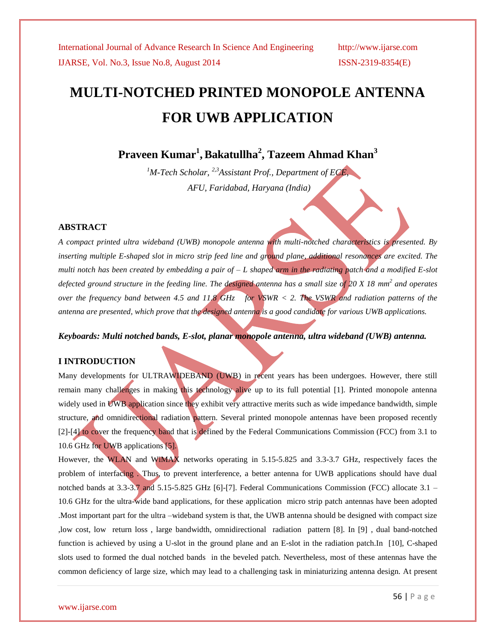# **MULTI-NOTCHED PRINTED MONOPOLE ANTENNA FOR UWB APPLICATION**

**Praveen Kumar<sup>1</sup> ,Bakatullha<sup>2</sup> , Tazeem Ahmad Khan<sup>3</sup>**

*<sup>1</sup>M-Tech Scholar, 2,3Assistant Prof., Department of ECE, AFU, Faridabad, Haryana (India)*

### **ABSTRACT**

*A compact printed ultra wideband (UWB) monopole antenna with multi-notched characteristics is presented. By inserting multiple E-shaped slot in micro strip feed line and ground plane, additional resonances are excited. The multi notch has been created by embedding a pair of – L shaped arm in the radiating patch and a modified E-slot*  defected ground structure in the feeding line. The designed antenna has a small size of 20 X 18 mm<sup>2</sup> and operates *over the frequency band between 4.5 and 11.8 GHz for VSWR < 2. The VSWR and radiation patterns of the antenna are presented, which prove that the designed antenna is a good candidate for various UWB applications.*

### *Keyboards: Multi notched bands, E-slot, planar monopole antenna, ultra wideband (UWB) antenna.*

### **I INTRODUCTION**

Many developments for ULTRAWIDEBAND (UWB) in recent years has been undergoes. However, there still remain many challenges in making this technology alive up to its full potential [1]. Printed monopole antenna widely used in UWB application since they exhibit very attractive merits such as wide impedance bandwidth, simple structure, and omnidirectional radiation pattern. Several printed monopole antennas have been proposed recently [2]-[4] to cover the frequency band that is defined by the Federal Communications Commission (FCC) from 3.1 to 10.6 GHz for UWB applications [5].

However, the WLAN and WiMAX networks operating in 5.15-5.825 and 3.3-3.7 GHz, respectively faces the problem of interfacing . Thus, to prevent interference, a better antenna for UWB applications should have dual notched bands at 3.3-3.7 and 5.15-5.825 GHz [6]-[7]. Federal Communications Commission (FCC) allocate 3.1 – 10.6 GHz for the ultra-wide band applications, for these application micro strip patch antennas have been adopted .Most important part for the ultra –wideband system is that, the UWB antenna should be designed with compact size ,low cost, low return loss , large bandwidth, omnidirectional radiation pattern [8]. In [9] , dual band-notched function is achieved by using a U-slot in the ground plane and an E-slot in the radiation patch.In [10], C-shaped slots used to formed the dual notched bands in the beveled patch. Nevertheless, most of these antennas have the common deficiency of large size, which may lead to a challenging task in miniaturizing antenna design. At present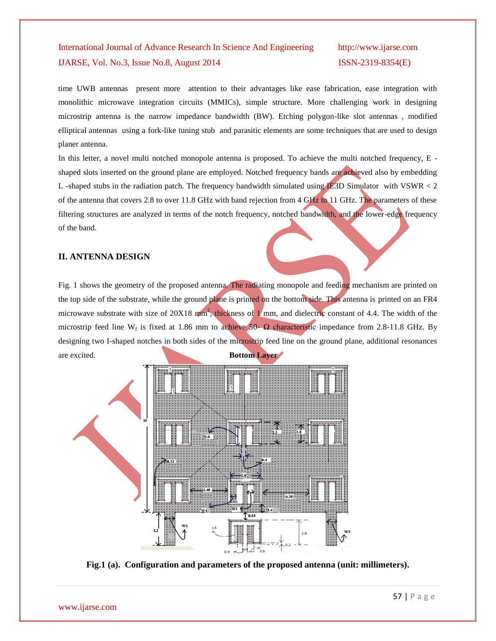time UWB antennas present more attention to their advantages like ease fabrication, ease integration with monolithic microwave integration circuits (MMICs), simple structure. More challenging work in designing microstrip antenna is the narrow impedance bandwidth (BW). Etching polygon-like slot antennas , modified elliptical antennas using a fork-like tuning stub and parasitic elements are some techniques that are used to design planer antenna.

In this letter, a novel multi notched monopole antenna is proposed. To achieve the multi notched frequency, E shaped slots inserted on the ground plane are employed. Notched frequency bands are achieved also by embedding L -shaped stubs in the radiation patch. The frequency bandwidth simulated using IE3D Simulator with VSWR < 2 of the antenna that covers 2.8 to over 11.8 GHz with band rejection from 4 GHz to 11 GHz. The parameters of these filtering structures are analyzed in terms of the notch frequency, notched bandwidth, and the lower-edge frequency of the band.

#### **II. ANTENNA DESIGN**

Fig. 1 shows the geometry of the proposed antenna. The radiating monopole and feeding mechanism are printed on the top side of the substrate, while the ground plane is printed on the bottom side. This antenna is printed on an FR4 microwave substrate with size of  $20X18$  mm<sup>2</sup>, thickness of 1 mm, and dielectric constant of 4.4. The width of the microstrip feed line W<sub>f</sub> is fixed at 1.86 mm to achieve 50-  $\Omega$  characteristic impedance from 2.8-11.8 GHz. By designing two I-shaped notches in both sides of the microstrip feed line on the ground plane, additional resonances are excited. **Bottom Layer** 



**Fig.1 (a). Configuration and parameters of the proposed antenna (unit: millimeters).**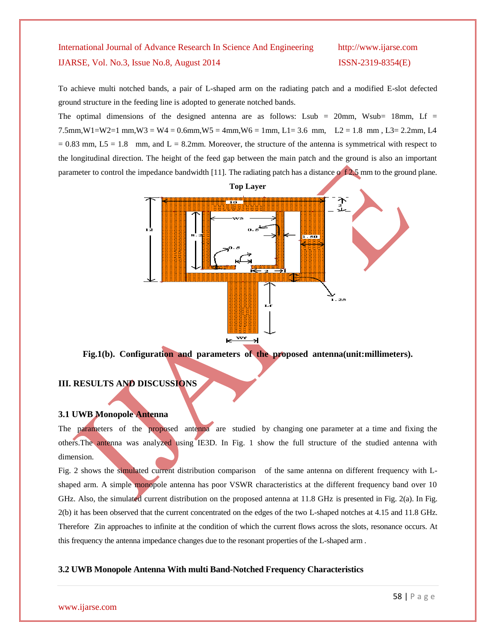To achieve multi notched bands, a pair of L-shaped arm on the radiating patch and a modified E-slot defected ground structure in the feeding line is adopted to generate notched bands.

The optimal dimensions of the designed antenna are as follows: Lsub = 20mm, Wsub= 18mm, Lf =  $7.5$ mm,  $W1=W2=1$  mm,  $W3=W4=0.6$ mm,  $W5=4$ mm,  $W6=1$ mm,  $L1=3.6$  mm,  $L2=1.8$  mm,  $L3=2.2$ mm,  $L4$  $= 0.83$  mm,  $L5 = 1.8$  mm, and  $L = 8.2$ mm. Moreover, the structure of the antenna is symmetrical with respect to the longitudinal direction. The height of the feed gap between the main patch and the ground is also an important parameter to control the impedance bandwidth [11]. The radiating patch has a distance of  $\frac{1}{2.5}$  mm to the ground plane.



**Fig.1(b). Configuration and parameters of the proposed antenna(unit:millimeters).**

### **III. RESULTS AND DISCUSSIONS**

#### **3.1 UWB Monopole Antenna**

The parameters of the proposed antenna are studied by changing one parameter at a time and fixing the others.The antenna was analyzed using IE3D. In Fig. 1 show the full structure of the studied antenna with dimension.

Fig. 2 shows the simulated current distribution comparison of the same antenna on different frequency with Lshaped arm. A simple monopole antenna has poor VSWR characteristics at the different frequency band over 10 GHz. Also, the simulated current distribution on the proposed antenna at 11.8 GHz is presented in Fig. 2(a). In Fig. 2(b) it has been observed that the current concentrated on the edges of the two L-shaped notches at 4.15 and 11.8 GHz. Therefore Zin approaches to infinite at the condition of which the current flows across the slots, resonance occurs. At this frequency the antenna impedance changes due to the resonant properties of the L-shaped arm .

#### **3.2 UWB Monopole Antenna With multi Band-Notched Frequency Characteristics**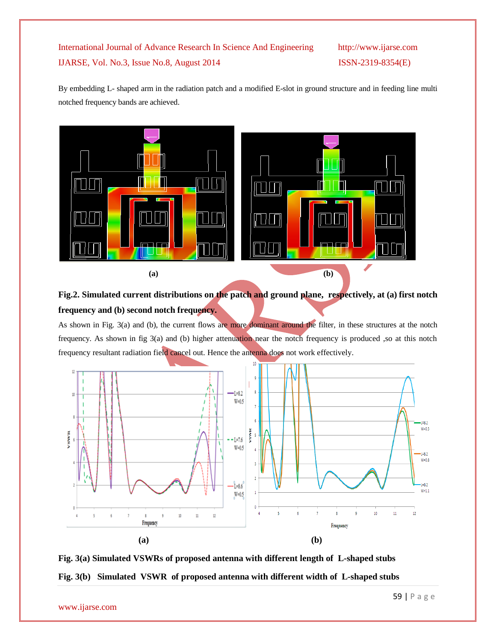By embedding L- shaped arm in the radiation patch and a modified E-slot in ground structure and in feeding line multi notched frequency bands are achieved.





As shown in Fig. 3(a) and (b), the current flows are more dominant around the filter, in these structures at the notch frequency. As shown in fig 3(a) and (b) higher attenuation near the notch frequency is produced ,so at this notch frequency resultant radiation field cancel out. Hence the antenna does not work effectively.



**Fig. 3(a) Simulated VSWRs of proposed antenna with different length of L-shaped stubs Fig. 3(b) Simulated VSWR of proposed antenna with different width of L-shaped stubs**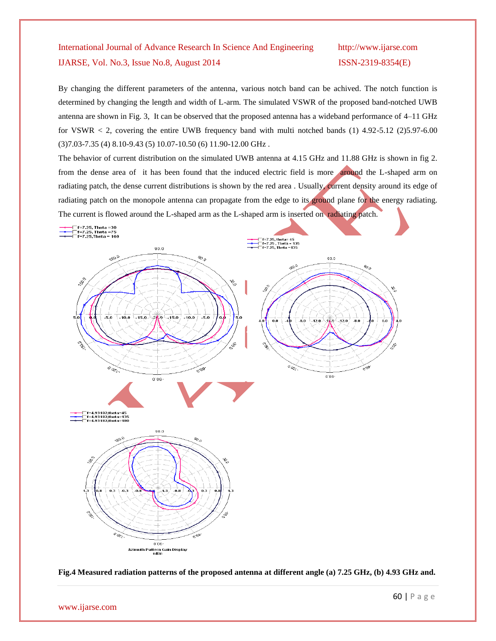By changing the different parameters of the antenna, various notch band can be achived. The notch function is determined by changing the length and width of L-arm. The simulated VSWR of the proposed band-notched UWB antenna are shown in Fig. 3, It can be observed that the proposed antenna has a wideband performance of 4–11 GHz for VSWR  $\lt$  2, covering the entire UWB frequency band with multi notched bands (1) 4.92-5.12 (2)5.97-6.00 (3)7.03-7.35 (4) 8.10-9.43 (5) 10.07-10.50 (6) 11.90-12.00 GHz .

The behavior of current distribution on the simulated UWB antenna at 4.15 GHz and 11.88 GHz is shown in fig 2. from the dense area of it has been found that the induced electric field is more around the L-shaped arm on radiating patch, the dense current distributions is shown by the red area . Usually, current density around its edge of radiating patch on the monopole antenna can propagate from the edge to its ground plane for the energy radiating. The current is flowed around the L-shaped arm as the L-shaped arm is inserted on radiating patch.



**Fig.4 Measured radiation patterns of the proposed antenna at different angle (a) 7.25 GHz, (b) 4.93 GHz and.**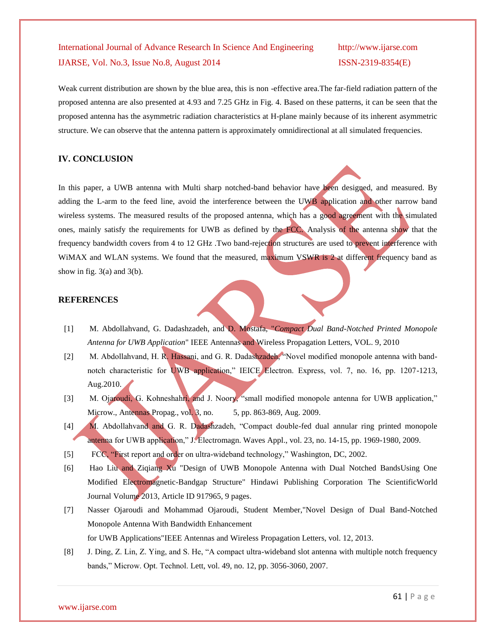Weak current distribution are shown by the blue area, this is non -effective area.The far-field radiation pattern of the proposed antenna are also presented at 4.93 and 7.25 GHz in Fig. 4. Based on these patterns, it can be seen that the proposed antenna has the asymmetric radiation characteristics at H-plane mainly because of its inherent asymmetric structure. We can observe that the antenna pattern is approximately omnidirectional at all simulated frequencies.

#### **IV. CONCLUSION**

In this paper, a UWB antenna with Multi sharp notched-band behavior have been designed, and measured. By adding the L-arm to the feed line, avoid the interference between the UWB application and other narrow band wireless systems. The measured results of the proposed antenna, which has a good agreement with the simulated ones, mainly satisfy the requirements for UWB as defined by the FCC. Analysis of the antenna show that the frequency bandwidth covers from 4 to 12 GHz .Two band-rejection structures are used to prevent interference with WiMAX and WLAN systems. We found that the measured, maximum VSWR is 2 at different frequency band as show in fig.  $3(a)$  and  $3(b)$ .

#### **REFERENCES**

- [1] M. Abdollahvand, G. Dadashzadeh, and D. Mostafa, "*Compact Dual Band-Notched Printed Monopole Antenna for UWB Application*" IEEE Antennas and Wireless Propagation Letters, VOL. 9, 2010
- [2] M. Abdollahvand, H. R. Hassani, and G. R. Dadashzadeh, "Novel modified monopole antenna with bandnotch characteristic for UWB application," IEICE Electron. Express, vol. 7, no. 16, pp. 1207-1213, Aug.2010.
- [3] M. Ojaroudi, G. Kohneshahri, and J. Noory, "small modified monopole antenna for UWB application," Microw., Antennas Propag., vol. 3, no. 5, pp. 863-869, Aug. 2009.
- [4] M. Abdollahvand and G. R. Dadashzadeh, "Compact double-fed dual annular ring printed monopole antenna for UWB application," J. Electromagn. Waves Appl., vol. 23, no. 14-15, pp. 1969-1980, 2009.
- [5] FCC, "First report and order on ultra-wideband technology," Washington, DC, 2002.
- [6] Hao Liu and Ziqiang Xu "Design of UWB Monopole Antenna with Dual Notched BandsUsing One Modified Electromagnetic-Bandgap Structure" Hindawi Publishing Corporation The ScientificWorld Journal Volume 2013, Article ID 917965, 9 pages.
- [7] Nasser Ojaroudi and Mohammad Ojaroudi, Student Member,"Novel Design of Dual Band-Notched Monopole Antenna With Bandwidth Enhancement for UWB Applications"IEEE Antennas and Wireless Propagation Letters, vol. 12, 2013.
- [8] J. Ding, Z. Lin, Z. Ying, and S. He, "A compact ultra-wideband slot antenna with multiple notch frequency bands," Microw. Opt. Technol. Lett, vol. 49, no. 12, pp. 3056-3060, 2007.